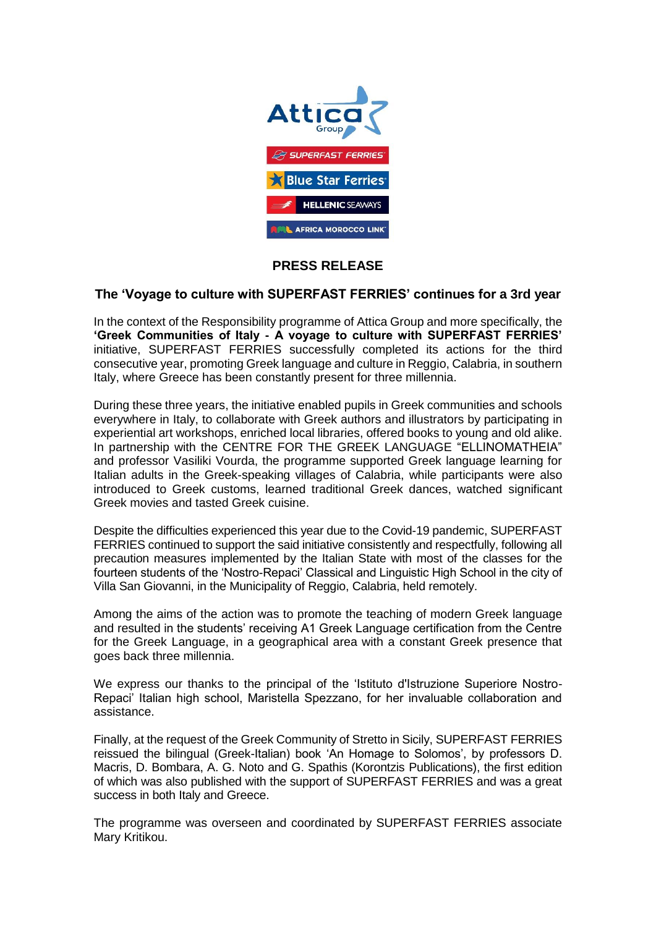

## **PRESS RELEASE**

## **The 'Voyage to culture with SUPERFAST FERRIES' continues for a 3rd year**

In the context of the Responsibility programme of Attica Group and more specifically, the **'Greek Communities of Italy - A voyage to culture with SUPERFAST FERRIES'** initiative, SUPERFAST FERRIES successfully completed its actions for the third consecutive year, promoting Greek language and culture in Reggio, Calabria, in southern Italy, where Greece has been constantly present for three millennia.

During these three years, the initiative enabled pupils in Greek communities and schools everywhere in Italy, to collaborate with Greek authors and illustrators by participating in experiential art workshops, enriched local libraries, offered books to young and old alike. In partnership with the CENTRE FOR THE GREEK LANGUAGE "ELLINOMATHEIA" and professor Vasiliki Vourda, the programme supported Greek language learning for Italian adults in the Greek-speaking villages of Calabria, while participants were also introduced to Greek customs, learned traditional Greek dances, watched significant Greek movies and tasted Greek cuisine.

Despite the difficulties experienced this year due to the Covid-19 pandemic, SUPERFAST FERRIES continued to support the said initiative consistently and respectfully, following all precaution measures implemented by the Italian State with most of the classes for the fourteen students of the 'Nostro-Repaci' Classical and Linguistic High School in the city of Villa San Giovanni, in the Municipality of Reggio, Calabria, held remotely.

Among the aims of the action was to promote the teaching of modern Greek language and resulted in the students' receiving A1 Greek Language certification from the Centre for the Greek Language, in a geographical area with a constant Greek presence that goes back three millennia.

We express our thanks to the principal of the 'Istituto d'Istruzione Superiore Nostro-Repaci' Italian high school, Maristella Spezzano, for her invaluable collaboration and assistance.

Finally, at the request of the Greek Community of Stretto in Sicily, SUPERFAST FERRIES reissued the bilingual (Greek-Italian) book 'An Homage to Solomos', by professors D. Macris, D. Bombara, A. G. Noto and G. Spathis (Korontzis Publications), the first edition of which was also published with the support of SUPERFAST FERRIES and was a great success in both Italy and Greece.

The programme was overseen and coordinated by SUPERFAST FERRIES associate Mary Kritikou.